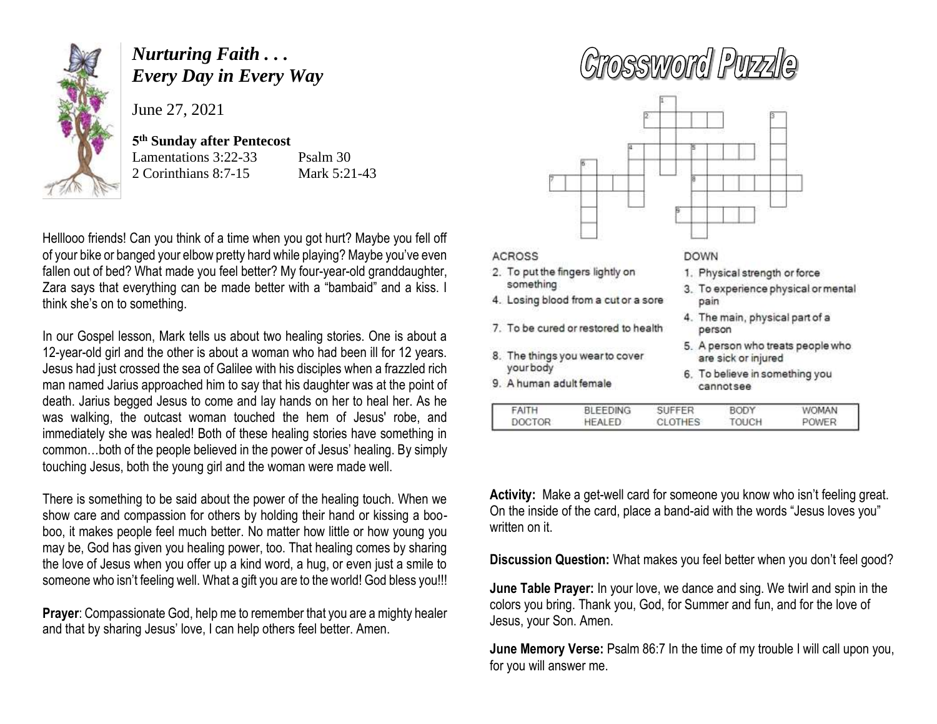

## *Nurturing Faith . . . Every Day in Every Way*

June 27, 2021

## **5 th Sunday after Pentecost**

Lamentations 3:22-33

Psalm 30 2 Corinthians 8:7-15 Mark 5:21-43

Helllooo friends! Can you think of a time when you got hurt? Maybe you fell off of your bike or banged your elbow pretty hard while playing? Maybe you've even fallen out of bed? What made you feel better? My four-year-old granddaughter, Zara says that everything can be made better with a "bambaid" and a kiss. I think she's on to something.

In our Gospel lesson, Mark tells us about two healing stories. One is about a 12-year-old girl and the other is about a woman who had been ill for 12 years. Jesus had just crossed the sea of Galilee with his disciples when a frazzled rich man named Jarius approached him to say that his daughter was at the point of death. Jarius begged Jesus to come and lay hands on her to heal her. As he was walking, the outcast woman touched the hem of Jesus' robe, and immediately she was healed! Both of these healing stories have something in common…both of the people believed in the power of Jesus' healing. By simply touching Jesus, both the young girl and the woman were made well.

There is something to be said about the power of the healing touch. When we show care and compassion for others by holding their hand or kissing a booboo, it makes people feel much better. No matter how little or how young you may be, God has given you healing power, too. That healing comes by sharing the love of Jesus when you offer up a kind word, a hug, or even just a smile to someone who isn't feeling well. What a gift you are to the world! God bless you!!!

**Prayer**: Compassionate God, help me to remember that you are a mighty healer and that by sharing Jesus' love, I can help others feel better. Amen.

## **ACROSS DOWN** 2. To put the fingers lightly on 1. Physical strength or force something 3. To experience physical or mental 4. Losing blood from a cut or a sore pain 4. The main, physical part of a 7. To be cured or restored to health person 5. A person who treats people who

- 8. The things you wear to cover yourbody
- 9. A human adult female
- 
- are sick or injured
- 6. To believe in something you cannotsee

| <b>DOCTOR</b><br>тоисн<br>HEALED.<br><b>POWER</b><br>CLOTHES | FAITH | <b>BLEEDING</b> | SUFFER | BODY | <b>WOMAN</b> |  |
|--------------------------------------------------------------|-------|-----------------|--------|------|--------------|--|
|                                                              |       |                 |        |      |              |  |

**Activity:** Make a get-well card for someone you know who isn't feeling great. On the inside of the card, place a band-aid with the words "Jesus loves you" written on it.

**Discussion Question:** What makes you feel better when you don't feel good?

**June Table Prayer:** In your love, we dance and sing. We twirl and spin in the colors you bring. Thank you, God, for Summer and fun, and for the love of Jesus, your Son. Amen.

**June Memory Verse:** Psalm 86:7 In the time of my trouble I will call upon you, for you will answer me.

## Grossword Puzzle